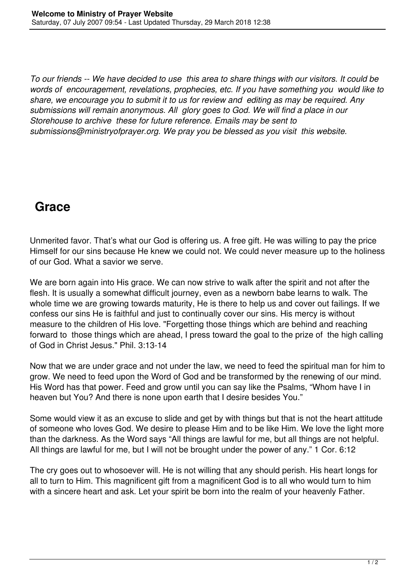*To our friends -- We have decided to use this area to share things with our visitors. It could be words of encouragement, revelations, prophecies, etc. If you have something you would like to share, we encourage you to submit it to us for review and editing as may be required. Any submissions will remain anonymous. All glory goes to God. We will find a place in our Storehouse to archive these for future reference. Emails may be sent to submissions@ministryofprayer.org. We pray you be blessed as you visit this website.*

## **Grace**

Unmerited favor. That's what our God is offering us. A free gift. He was willing to pay the price Himself for our sins because He knew we could not. We could never measure up to the holiness of our God. What a savior we serve.

We are born again into His grace. We can now strive to walk after the spirit and not after the flesh. It is usually a somewhat difficult journey, even as a newborn babe learns to walk. The whole time we are growing towards maturity, He is there to help us and cover out failings. If we confess our sins He is faithful and just to continually cover our sins. His mercy is without measure to the children of His love. "Forgetting those things which are behind and reaching forward to those things which are ahead, I press toward the goal to the prize of the high calling of God in Christ Jesus." Phil. 3:13-14

Now that we are under grace and not under the law, we need to feed the spiritual man for him to grow. We need to feed upon the Word of God and be transformed by the renewing of our mind. His Word has that power. Feed and grow until you can say like the Psalms, "Whom have I in heaven but You? And there is none upon earth that I desire besides You."

Some would view it as an excuse to slide and get by with things but that is not the heart attitude of someone who loves God. We desire to please Him and to be like Him. We love the light more than the darkness. As the Word says "All things are lawful for me, but all things are not helpful. All things are lawful for me, but I will not be brought under the power of any." 1 Cor. 6:12

The cry goes out to whosoever will. He is not willing that any should perish. His heart longs for all to turn to Him. This magnificent gift from a magnificent God is to all who would turn to him with a sincere heart and ask. Let your spirit be born into the realm of your heavenly Father.